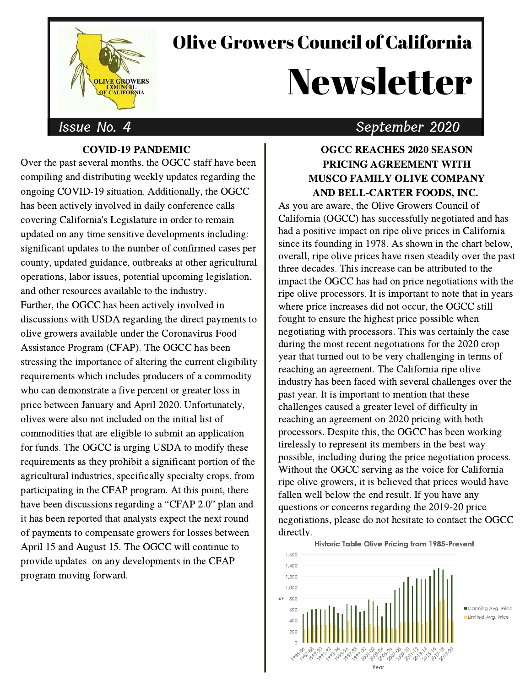## Olive Growers Council of California

# Newsletter

#### Issue No. 4

#### COVID-19 PANDEMIC

Over the past several months, the OGCC staff have been compiling and distributing weekly updates regarding the ongoing COVID-19 situation. Additionally, the OGCC has been actively involved in daily conference calls covering California's Legislature in order to remain updated on any time sensitive developments including: significant updates to the number of confirmed cases per county, updated guidance, outbreaks at other agricultural operations, labor issues, potential upcoming legislation, and other resources available to the industry. Further, the OGCC has been actively involved in discussions with USDA regarding the direct payments to olive growers available under the Coronavirus Food Assistance Program (CFAP). The OGCC has been stressing the importance of altering the current eligibility requirements which includes producers of a commodity who can demonstrate a five percent or greater loss in price between January and April 2020. Unfortunately, olives were also not included on the initial list of commodities that are eligible to submit an application for funds. The OGCC is urging USDA to modify these requirements as they prohibit a significant portion of the agricultural industries, specifically specialty crops, from participating in the CFAP program. At this point, there have been discussions regarding <sup>a</sup> "CFAP 2.0" plan and it has been reported that analysts expect the next round of payments to compensate growers for losses between April 15 and August 15. The OGCC will continue to provide updates on any developments in the CFAP program moving forward.

### September 2020

#### OGCC REACHES 2020 SEASON PRICING AGREEMENT WITH MUSCO FAMILY OLIVE COMPANY AND BELL-CARTER FOODS, INC.

As you are aware, the Olive Growers Council of California (OGCC) has successfully negotiated and has had a positive impact on ripe olive prices in California since its founding in 1978. As shown in the chart below, overall, ripe olive prices have risen steadily over the past three decades. This increase can be attributed to the impact the OGCC has had on price negotiations with the ripe olive processors. It is important to note that in years where price increases did not occur, the OGCC still fought to ensure the highest price possible when negotiating with processors. This was certainly the case during the most recent negotiations for the 2020 crop year that turned out to be very challenging in terms of reaching an agreement. The California ripe olive industry has been faced with several challenges over the past year. It is important to mention that these challenges caused a greater level of difficulty in reaching an agreement on 2020 pricing with both processors. Despite this, the OGCC has been working tirelessly to represent its members in the best way possible, including during the price negotiation process. Without the OGCC serving as the voice for California ripe olive growers, it is believed that prices would have fallen well below the end result. If you have any questions or concerns regarding the 2019-20 price negotiations, please do not hesitate to contact the OGCC directly.